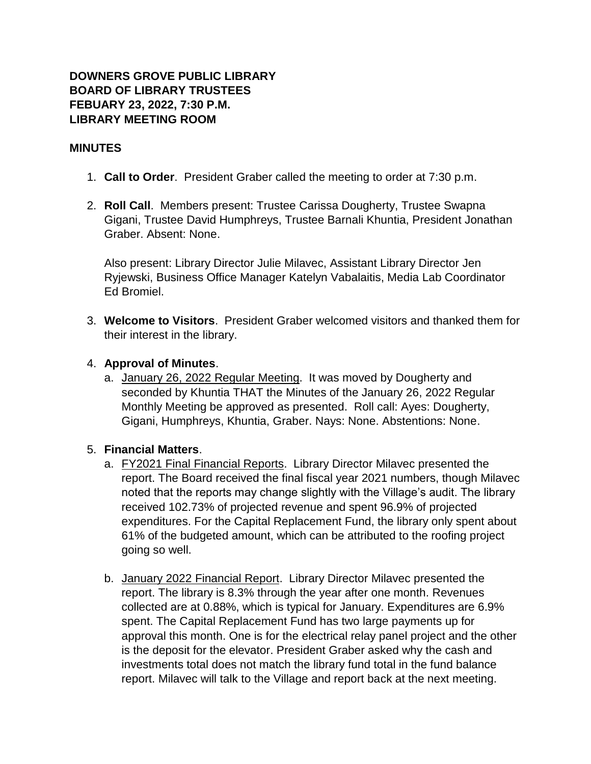## **DOWNERS GROVE PUBLIC LIBRARY BOARD OF LIBRARY TRUSTEES FEBUARY 23, 2022, 7:30 P.M. LIBRARY MEETING ROOM**

## **MINUTES**

- 1. **Call to Order**. President Graber called the meeting to order at 7:30 p.m.
- 2. **Roll Call**. Members present: Trustee Carissa Dougherty, Trustee Swapna Gigani, Trustee David Humphreys, Trustee Barnali Khuntia, President Jonathan Graber. Absent: None.

Also present: Library Director Julie Milavec, Assistant Library Director Jen Ryjewski, Business Office Manager Katelyn Vabalaitis, Media Lab Coordinator Ed Bromiel.

3. **Welcome to Visitors**. President Graber welcomed visitors and thanked them for their interest in the library.

## 4. **Approval of Minutes**.

a. January 26, 2022 Regular Meeting. It was moved by Dougherty and seconded by Khuntia THAT the Minutes of the January 26, 2022 Regular Monthly Meeting be approved as presented. Roll call: Ayes: Dougherty, Gigani, Humphreys, Khuntia, Graber. Nays: None. Abstentions: None.

# 5. **Financial Matters**.

- a. FY2021 Final Financial Reports. Library Director Milavec presented the report. The Board received the final fiscal year 2021 numbers, though Milavec noted that the reports may change slightly with the Village's audit. The library received 102.73% of projected revenue and spent 96.9% of projected expenditures. For the Capital Replacement Fund, the library only spent about 61% of the budgeted amount, which can be attributed to the roofing project going so well.
- b. January 2022 Financial Report. Library Director Milavec presented the report. The library is 8.3% through the year after one month. Revenues collected are at 0.88%, which is typical for January. Expenditures are 6.9% spent. The Capital Replacement Fund has two large payments up for approval this month. One is for the electrical relay panel project and the other is the deposit for the elevator. President Graber asked why the cash and investments total does not match the library fund total in the fund balance report. Milavec will talk to the Village and report back at the next meeting.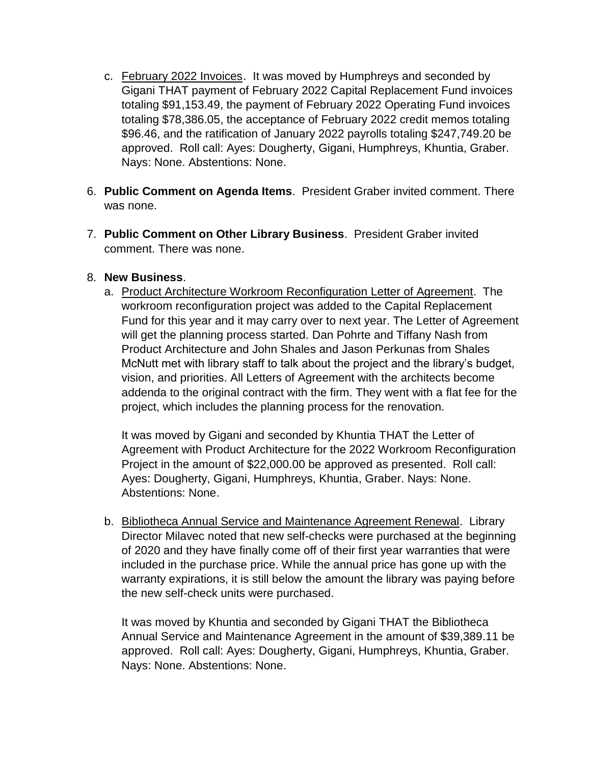- c. February 2022 Invoices. It was moved by Humphreys and seconded by Gigani THAT payment of February 2022 Capital Replacement Fund invoices totaling \$91,153.49, the payment of February 2022 Operating Fund invoices totaling \$78,386.05, the acceptance of February 2022 credit memos totaling \$96.46, and the ratification of January 2022 payrolls totaling \$247,749.20 be approved. Roll call: Ayes: Dougherty, Gigani, Humphreys, Khuntia, Graber. Nays: None. Abstentions: None.
- 6. **Public Comment on Agenda Items**. President Graber invited comment. There was none.
- 7. **Public Comment on Other Library Business**. President Graber invited comment. There was none.

## 8. **New Business**.

a. Product Architecture Workroom Reconfiguration Letter of Agreement. The workroom reconfiguration project was added to the Capital Replacement Fund for this year and it may carry over to next year. The Letter of Agreement will get the planning process started. Dan Pohrte and Tiffany Nash from Product Architecture and John Shales and Jason Perkunas from Shales McNutt met with library staff to talk about the project and the library's budget, vision, and priorities. All Letters of Agreement with the architects become addenda to the original contract with the firm. They went with a flat fee for the project, which includes the planning process for the renovation.

It was moved by Gigani and seconded by Khuntia THAT the Letter of Agreement with Product Architecture for the 2022 Workroom Reconfiguration Project in the amount of \$22,000.00 be approved as presented. Roll call: Ayes: Dougherty, Gigani, Humphreys, Khuntia, Graber. Nays: None. Abstentions: None.

b. Bibliotheca Annual Service and Maintenance Agreement Renewal. Library Director Milavec noted that new self-checks were purchased at the beginning of 2020 and they have finally come off of their first year warranties that were included in the purchase price. While the annual price has gone up with the warranty expirations, it is still below the amount the library was paying before the new self-check units were purchased.

It was moved by Khuntia and seconded by Gigani THAT the Bibliotheca Annual Service and Maintenance Agreement in the amount of \$39,389.11 be approved. Roll call: Ayes: Dougherty, Gigani, Humphreys, Khuntia, Graber. Nays: None. Abstentions: None.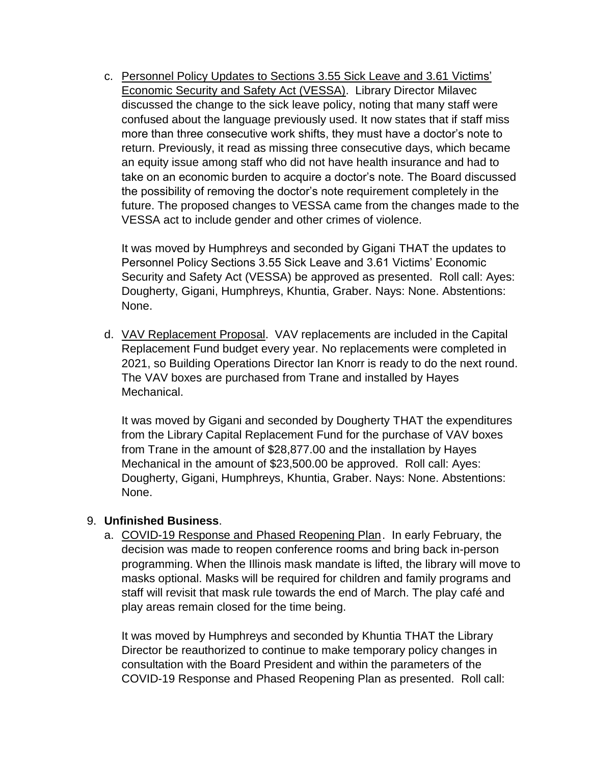c. Personnel Policy Updates to Sections 3.55 Sick Leave and 3.61 Victims' Economic Security and Safety Act (VESSA). Library Director Milavec discussed the change to the sick leave policy, noting that many staff were confused about the language previously used. It now states that if staff miss more than three consecutive work shifts, they must have a doctor's note to return. Previously, it read as missing three consecutive days, which became an equity issue among staff who did not have health insurance and had to take on an economic burden to acquire a doctor's note. The Board discussed the possibility of removing the doctor's note requirement completely in the future. The proposed changes to VESSA came from the changes made to the VESSA act to include gender and other crimes of violence.

It was moved by Humphreys and seconded by Gigani THAT the updates to Personnel Policy Sections 3.55 Sick Leave and 3.61 Victims' Economic Security and Safety Act (VESSA) be approved as presented. Roll call: Ayes: Dougherty, Gigani, Humphreys, Khuntia, Graber. Nays: None. Abstentions: None.

d. VAV Replacement Proposal. VAV replacements are included in the Capital Replacement Fund budget every year. No replacements were completed in 2021, so Building Operations Director Ian Knorr is ready to do the next round. The VAV boxes are purchased from Trane and installed by Hayes Mechanical.

It was moved by Gigani and seconded by Dougherty THAT the expenditures from the Library Capital Replacement Fund for the purchase of VAV boxes from Trane in the amount of \$28,877.00 and the installation by Hayes Mechanical in the amount of \$23,500.00 be approved. Roll call: Ayes: Dougherty, Gigani, Humphreys, Khuntia, Graber. Nays: None. Abstentions: None.

## 9. **Unfinished Business**.

a. COVID-19 Response and Phased Reopening Plan. In early February, the decision was made to reopen conference rooms and bring back in-person programming. When the Illinois mask mandate is lifted, the library will move to masks optional. Masks will be required for children and family programs and staff will revisit that mask rule towards the end of March. The play café and play areas remain closed for the time being.

It was moved by Humphreys and seconded by Khuntia THAT the Library Director be reauthorized to continue to make temporary policy changes in consultation with the Board President and within the parameters of the COVID-19 Response and Phased Reopening Plan as presented. Roll call: